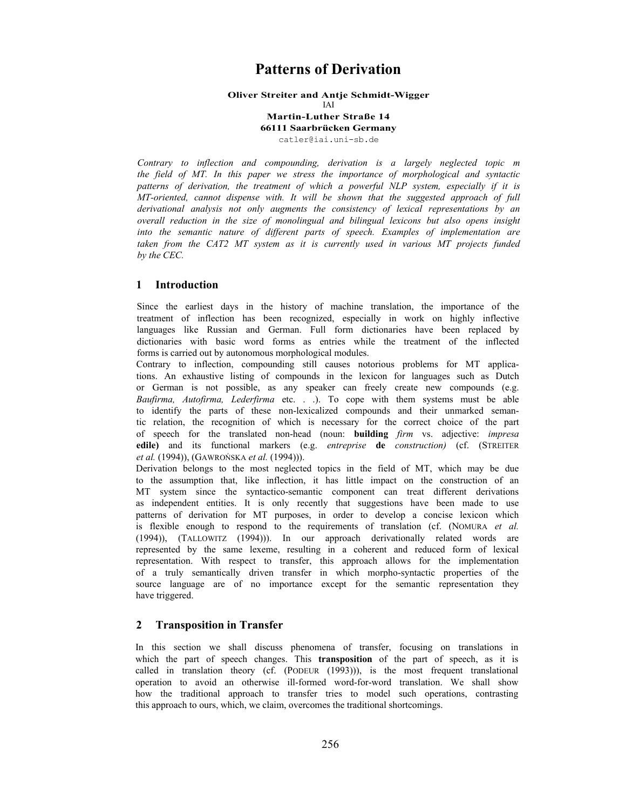# **Patterns of Derivation**

### **Oliver Streiter and Antje Schmidt-Wigger**

IAI

### **Martin-Luther Straße 14 66111 Saarbrücken Germany** catler@iai.uni-sb.de

*Contrary to inflection and compounding, derivation is a largely neglected topic m the field of MT. In this paper we stress the importance of morphological and syntactic patterns of derivation, the treatment of which a powerful NLP system, especially if it is MT-oriented, cannot dispense with. It will be shown that the suggested approach of full derivational analysis not only augments the consistency of lexical representations by an overall reduction in the size of monolingual and bilingual lexicons but also opens insight into the semantic nature of different parts of speech. Examples of implementation are*  taken from the CAT2 MT system as it is currently used in various MT projects funded *by the CEC.*

# **1 Introduction**

Since the earliest days in the history of machine translation, the importance of the treatment of inflection has been recognized, especially in work on highly inflective languages like Russian and German. Full form dictionaries have been replaced by dictionaries with basic word forms as entries while the treatment of the inflected forms is carried out by autonomous morphological modules.

Contrary to inflection, compounding still causes notorious problems for MT applications. An exhaustive listing of compounds in the lexicon for languages such as Dutch or German is not possible, as any speaker can freely create new compounds (e.g. *Baufirma, Autofirma, Lederfirma* etc. . .). To cope with them systems must be able to identify the parts of these non-lexicalized compounds and their unmarked semantic relation, the recognition of which is necessary for the correct choice of the part of speech for the translated non-head (noun: **building** *firm* vs. adjective: *impresa*  **edile)** and its functional markers (e.g. *entreprise* **de** *construction)* (cf. (STREITER *et al.* (1994)), (GAWROŃSKA *et al.* (1994))).

Derivation belongs to the most neglected topics in the field of MT, which may be due to the assumption that, like inflection, it has little impact on the construction of an MT system since the syntactico-semantic component can treat different derivations as independent entities. It is only recently that suggestions have been made to use patterns of derivation for MT purposes, in order to develop a concise lexicon which is flexible enough to respond to the requirements of translation (cf. (NOMURA *et al.*  (1994)), (TALLOWITZ (1994))). In our approach derivationally related words are represented by the same lexeme, resulting in a coherent and reduced form of lexical representation. With respect to transfer, this approach allows for the implementation of a truly semantically driven transfer in which morpho-syntactic properties of the source language are of no importance except for the semantic representation they have triggered.

# **2 Transposition in Transfer**

In this section we shall discuss phenomena of transfer, focusing on translations in which the part of speech changes. This **transposition** of the part of speech, as it is called in translation theory (cf. (PODEUR (1993))), is the most frequent translational operation to avoid an otherwise ill-formed word-for-word translation. We shall show how the traditional approach to transfer tries to model such operations, contrasting this approach to ours, which, we claim, overcomes the traditional shortcomings.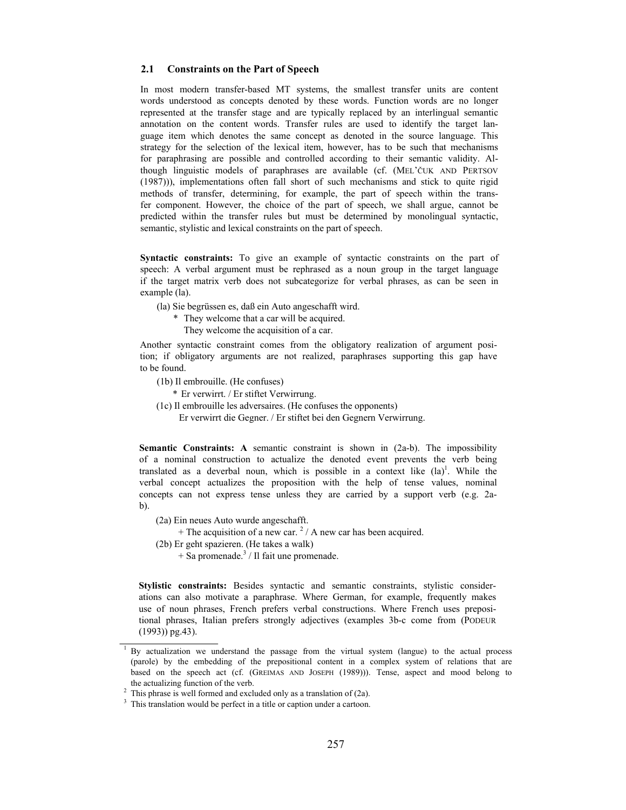#### **2.1 Constraints on the Part of Speech**

In most modern transfer-based MT systems, the smallest transfer units are content words understood as concepts denoted by these words. Function words are no longer represented at the transfer stage and are typically replaced by an interlingual semantic annotation on the content words. Transfer rules are used to identify the target language item which denotes the same concept as denoted in the source language. This strategy for the selection of the lexical item, however, has to be such that mechanisms for paraphrasing are possible and controlled according to their semantic validity. Although linguistic models of paraphrases are available (cf. (MEL'ČUK AND PERTSOV (1987))), implementations often fall short of such mechanisms and stick to quite rigid methods of transfer, determining, for example, the part of speech within the transfer component. However, the choice of the part of speech, we shall argue, cannot be predicted within the transfer rules but must be determined by monolingual syntactic, semantic, stylistic and lexical constraints on the part of speech.

**Syntactic constraints:** To give an example of syntactic constraints on the part of speech: A verbal argument must be rephrased as a noun group in the target language if the target matrix verb does not subcategorize for verbal phrases, as can be seen in example (la).

(la) Sie begrüssen es, daß ein Auto angeschafft wird.

- \* They welcome that a car will be acquired.
	- They welcome the acquisition of a car.

Another syntactic constraint comes from the obligatory realization of argument position; if obligatory arguments are not realized, paraphrases supporting this gap have to be found.

- (1b) Il embrouille. (He confuses)
	- \* Er verwirrt. / Er stiftet Verwirrung.
- (1c) Il embrouille les adversaires. (He confuses the opponents)
	- Er verwirrt die Gegner. / Er stiftet bei den Gegnern Verwirrung.

**Semantic Constraints: A** semantic constraint is shown in (2a-b). The impossibility of a nominal construction to actualize the denoted event prevents the verb being translated as a deverbal noun, which is possible in a context like  $(1a)^{1}$ . While the verbal concept actualizes the proposition with the help of tense values, nominal concepts can not express tense unless they are carried by a support verb (e.g. 2ab).

- (2a) Ein neues Auto wurde angeschafft.
	- $+$  The acquisition of a new car. <sup>2</sup> / A new car has been acquired.
- (2b) Er geht spazieren. (He takes a walk)
	- $+$  Sa promenade.<sup>3</sup> / Il fait une promenade.

**Stylistic constraints:** Besides syntactic and semantic constraints, stylistic considerations can also motivate a paraphrase. Where German, for example, frequently makes use of noun phrases, French prefers verbal constructions. Where French uses prepositional phrases, Italian prefers strongly adjectives (examples 3b-c come from (PODEUR (1993)) pg.43).

<sup>&</sup>lt;sup>1</sup> By actualization we understand the passage from the virtual system (langue) to the actual process (parole) by the embedding of the prepositional content in a complex system of relations that are based on the speech act (cf. (GREIMAS AND JOSEPH (1989))). Tense, aspect and mood belong to the actualizing function of the verb.<br>
<sup>2</sup> This phrase is well formed and excluded only as a translation of (2a).<br>
<sup>3</sup> This translation would be perfect in a title or caption under a cartoon.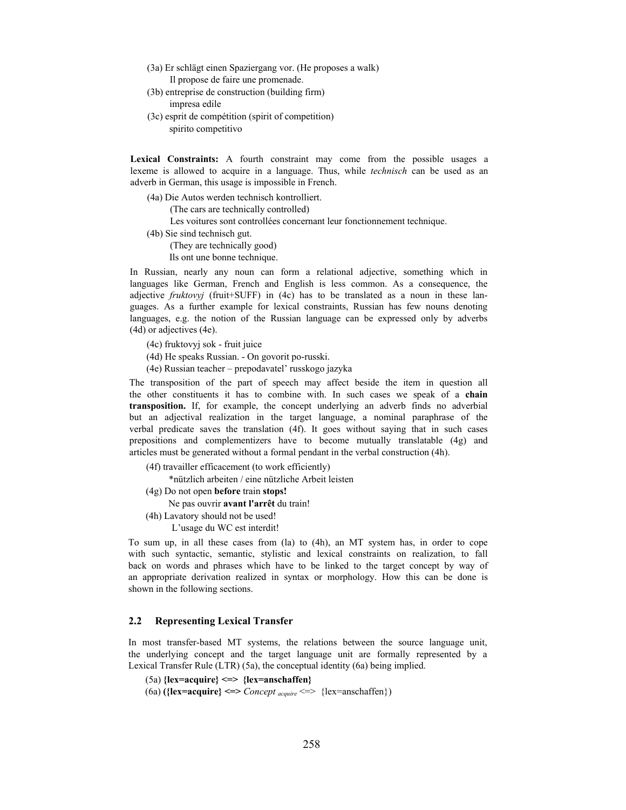- (3a) Er schlägt einen Spaziergang vor. (He proposes a walk) Il propose de faire une promenade.
- (3b) entreprise de construction (building firm) impresa edile
- (3c) esprit de compétition (spirit of competition) spirito competitivo

**Lexical Constraints:** A fourth constraint may come from the possible usages a lexeme is allowed to acquire in a language. Thus, while *technisch* can be used as an adverb in German, this usage is impossible in French.

(4a) Die Autos werden technisch kontrolliert.

(The cars are technically controlled)

Les voitures sont controllées concernant leur fonctionnement technique.

(4b) Sie sind technisch gut. (They are technically good) Ils ont une bonne technique.

In Russian, nearly any noun can form a relational adjective, something which in languages like German, French and English is less common. As a consequence, the adjective *fruktovyj* (fruit+SUFF) in (4c) has to be translated as a noun in these languages. As a further example for lexical constraints, Russian has few nouns denoting languages, e.g. the notion of the Russian language can be expressed only by adverbs (4d) or adjectives (4e).

- (4c) fruktovyj sok fruit juice
- (4d) He speaks Russian. On govorit po-russki.
- (4e) Russian teacher prepodavatel' russkogo jazyka

The transposition of the part of speech may affect beside the item in question all the other constituents it has to combine with. In such cases we speak of a **chain transposition.** If, for example, the concept underlying an adverb finds no adverbial but an adjectival realization in the target language, a nominal paraphrase of the verbal predicate saves the translation (4f). It goes without saying that in such cases prepositions and complementizers have to become mutually translatable (4g) and articles must be generated without a formal pendant in the verbal construction (4h).

(4f) travailler efficacement (to work efficiently)

\*nützlich arbeiten / eine nützliche Arbeit leisten

- (4g) Do not open **before** train **stops!**
- Ne pas ouvrir **avant l'arrêt** du train!
- (4h) Lavatory should not be used!

L'usage du WC est interdit!

To sum up, in all these cases from (la) to (4h), an MT system has, in order to cope with such syntactic, semantic, stylistic and lexical constraints on realization, to fall back on words and phrases which have to be linked to the target concept by way of an appropriate derivation realized in syntax or morphology. How this can be done is shown in the following sections.

## **2.2 Representing Lexical Transfer**

In most transfer-based MT systems, the relations between the source language unit, the underlying concept and the target language unit are formally represented by a Lexical Transfer Rule (LTR) (5a), the conceptual identity (6a) being implied.

```
(5a) {lex=acquire} <=> {lex=anschaffen}
```
(6a) **({lex=acquire} <=>** *Concept acquire* <=> {lex=anschaffen})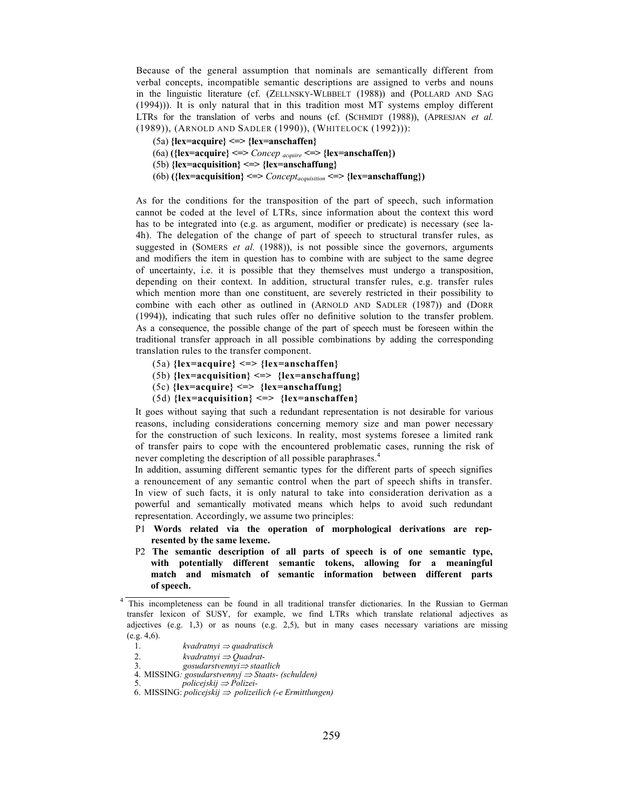Because of the general assumption that nominals are semantically different from verbal concepts, incompatible semantic descriptions are assigned to verbs and nouns in the linguistic literature (cf. (ZELLNSKY-WLBBELT (1988)) and (POLLARD AND SAG (1994))). It is only natural that in this tradition most MT systems employ different LTRs for the translation of verbs and nouns (cf. (SCHMIDT (1988)), (APRESJAN *et al.*  (1989)), (ARNOLD AND SADLER (1990)), (WHITELOCK (1992))):

- (5a) **{lex=acquire} <=> {lex=anschaffen}**
- (6a) **({lex=acquire} <=>** *Concep acquire <=>* **{lex=anschaffen})**
- (5b) **{lex=acquisition} <=> {lex=anschaffung}**
- (6b) **({lex=acquisition} <=>** *Conceptacquisition* **<=> {lex=anschaffung})**

As for the conditions for the transposition of the part of speech, such information cannot be coded at the level of LTRs, since information about the context this word has to be integrated into (e.g. as argument, modifier or predicate) is necessary (see la-4h). The delegation of the change of part of speech to structural transfer rules, as suggested in (SOMERS *et al.* (1988)), is not possible since the governors, arguments and modifiers the item in question has to combine with are subject to the same degree of uncertainty, i.e. it is possible that they themselves must undergo a transposition, depending on their context. In addition, structural transfer rules, e.g. transfer rules which mention more than one constituent, are severely restricted in their possibility to combine with each other as outlined in (ARNOLD AND SADLER (1987)) and (DORR (1994)), indicating that such rules offer no definitive solution to the transfer problem. As a consequence, the possible change of the part of speech must be foreseen within the traditional transfer approach in all possible combinations by adding the corresponding translation rules to the transfer component.

- (5a) **{lex=acquire} <=> {lex=anschaffen}**
- (5b) **{lex=acquisition} <=> {lex=anschaffung}**
- (5c) **{lex=acquire} <=> {lex=anschaffung}**
- (5d) **{lex=acquisition} <=> {lex=anschaffen}**

It goes without saying that such a redundant representation is not desirable for various reasons, including considerations concerning memory size and man power necessary for the construction of such lexicons. In reality, most systems foresee a limited rank of transfer pairs to cope with the encountered problematic cases, running the risk of never completing the description of all possible paraphrases.<sup>4</sup>

In addition, assuming different semantic types for the different parts of speech signifies a renouncement of any semantic control when the part of speech shifts in transfer. In view of such facts, it is only natural to take into consideration derivation as a powerful and semantically motivated means which helps to avoid such redundant representation. Accordingly, we assume two principles:

- P1 **Words related via the operation of morphological derivations are represented by the same lexeme.**
- P2 **The semantic description of all parts of speech is of one semantic type, with potentially different semantic tokens, allowing for a meaningful match and mismatch of semantic information between different parts of speech.**

<sup>4</sup> This incompleteness can be found in all traditional transfer dictionaries. In the Russian to German transfer lexicon of SUSY, for example, we find LTRs which translate relational adjectives as adjectives (e.g. 1,3) or as nouns (e.g. 2,5), but in many cases necessary variations are missing (e.g. 4,6).

<sup>1.</sup> *kvadratnyi* <sup>⇒</sup> *quadratisch*

<sup>2.</sup> *kvadratnyi* <sup>⇒</sup> *Quadrat-*

<sup>3.</sup> *gosudarstvennyi*<sup>⇒</sup> *staatlich*

<sup>4.</sup> MISSING*: gosudarstvennyj* <sup>⇒</sup> *Staats- (schulden)*

<sup>5.</sup> *policejskij* <sup>⇒</sup> *Polizei-*

<sup>6.</sup> MISSING: *policejskij* ⇒ *polizeilich (-e Ermittlungen)*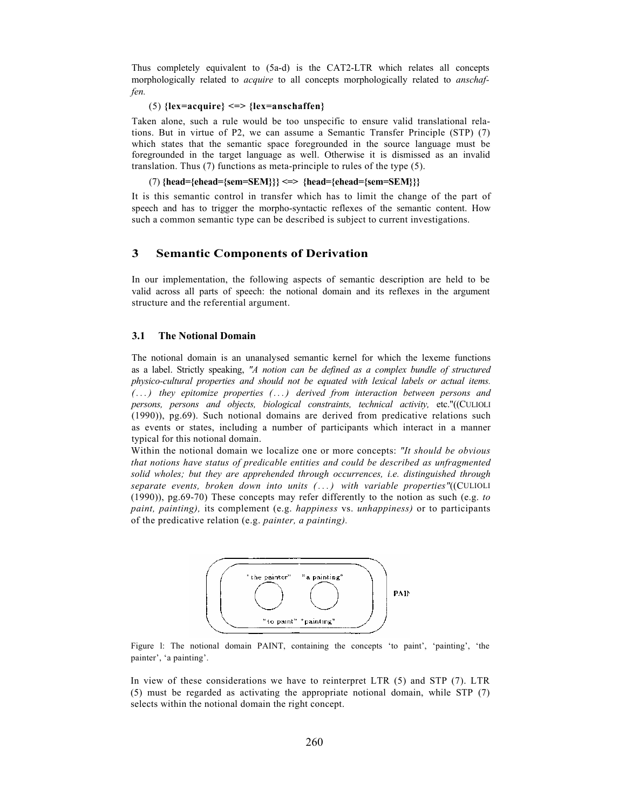Thus completely equivalent to (5a-d) is the CAT2-LTR which relates all concepts morphologically related to *acquire* to all concepts morphologically related to *anschaffen.*

# (5) **{lex=acquire} <=> {lex=anschaffen}**

Taken alone, such a rule would be too unspecific to ensure valid translational relations. But in virtue of P2, we can assume a Semantic Transfer Principle (STP) (7) which states that the semantic space foregrounded in the source language must be foregrounded in the target language as well. Otherwise it is dismissed as an invalid translation. Thus (7) functions as meta-principle to rules of the type (5).

(7) **{head={ehead={sem=SEM}}} <=> {head={ehead={sem=SEM}}}**

It is this semantic control in transfer which has to limit the change of the part of speech and has to trigger the morpho-syntactic reflexes of the semantic content. How such a common semantic type can be described is subject to current investigations.

# **3 Semantic Components of Derivation**

In our implementation, the following aspects of semantic description are held to be valid across all parts of speech: the notional domain and its reflexes in the argument structure and the referential argument.

# **3.1 The Notional Domain**

The notional domain is an unanalysed semantic kernel for which the lexeme functions as a label. Strictly speaking, *"A notion can be defined as a complex bundle of structured physico-cultural properties and should not be equated with lexical labels or actual items. ( . . . ) they epitomize properties (. . . ) derived from interaction between persons and persons, persons and objects, biological constraints, technical activity,* etc."((CULIOLI (1990)), pg.69). Such notional domains are derived from predicative relations such as events or states, including a number of participants which interact in a manner typical for this notional domain.

Within the notional domain we localize one or more concepts: *"It should be obvious that notions have status of predicable entities and could be described as unfragmented solid wholes; but they are apprehended through occurrences, i.e. distinguished through separate events, broken down into units ( . . . ) with variable properties"*((CULIOLI (1990)), pg.69-70) These concepts may refer differently to the notion as such (e.g. *to paint, painting),* its complement (e.g. *happiness* vs. *unhappiness)* or to participants of the predicative relation (e.g. *painter, a painting).*



Figure l: The notional domain PAINT, containing the concepts 'to paint', 'painting', 'the painter', 'a painting'.

In view of these considerations we have to reinterpret LTR (5) and STP (7). LTR (5) must be regarded as activating the appropriate notional domain, while STP (7) selects within the notional domain the right concept.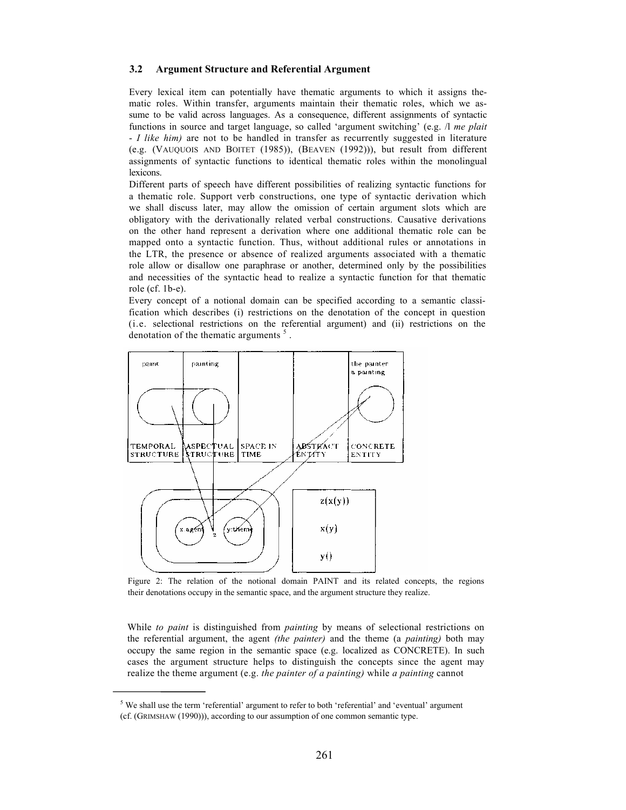### **3.2 Argument Structure and Referential Argument**

Every lexical item can potentially have thematic arguments to which it assigns thematic roles. Within transfer, arguments maintain their thematic roles, which we assume to be valid across languages. As a consequence, different assignments of syntactic functions in source and target language, so called 'argument switching' (e.g. /l *me plait*  - *I like him)* are not to be handled in transfer as recurrently suggested in literature (e.g. (VAUQUOIS AND BOITET (1985)), (BEAVEN (1992))), but result from different assignments of syntactic functions to identical thematic roles within the monolingual lexicons.

Different parts of speech have different possibilities of realizing syntactic functions for a thematic role. Support verb constructions, one type of syntactic derivation which we shall discuss later, may allow the omission of certain argument slots which are obligatory with the derivationally related verbal constructions. Causative derivations on the other hand represent a derivation where one additional thematic role can be mapped onto a syntactic function. Thus, without additional rules or annotations in the LTR, the presence or absence of realized arguments associated with a thematic role allow or disallow one paraphrase or another, determined only by the possibilities and necessities of the syntactic head to realize a syntactic function for that thematic role (cf. 1b-e).

Every concept of a notional domain can be specified according to a semantic classification which describes (i) restrictions on the denotation of the concept in question (i.e. selectional restrictions on the referential argument) and (ii) restrictions on the denotation of the thematic arguments  $<sup>5</sup>$ .</sup>



Figure 2: The relation of the notional domain PAINT and its related concepts, the regions their denotations occupy in the semantic space, and the argument structure they realize.

While *to paint* is distinguished from *painting* by means of selectional restrictions on the referential argument, the agent *(the painter)* and the theme (a *painting)* both may occupy the same region in the semantic space (e.g. localized as CONCRETE). In such cases the argument structure helps to distinguish the concepts since the agent may realize the theme argument (e.g. *the painter of a painting)* while *a painting* cannot

 $<sup>5</sup>$  We shall use the term 'referential' argument to refer to both 'referential' and 'eventual' argument</sup> (cf. (GRIMSHAW (1990))), according to our assumption of one common semantic type.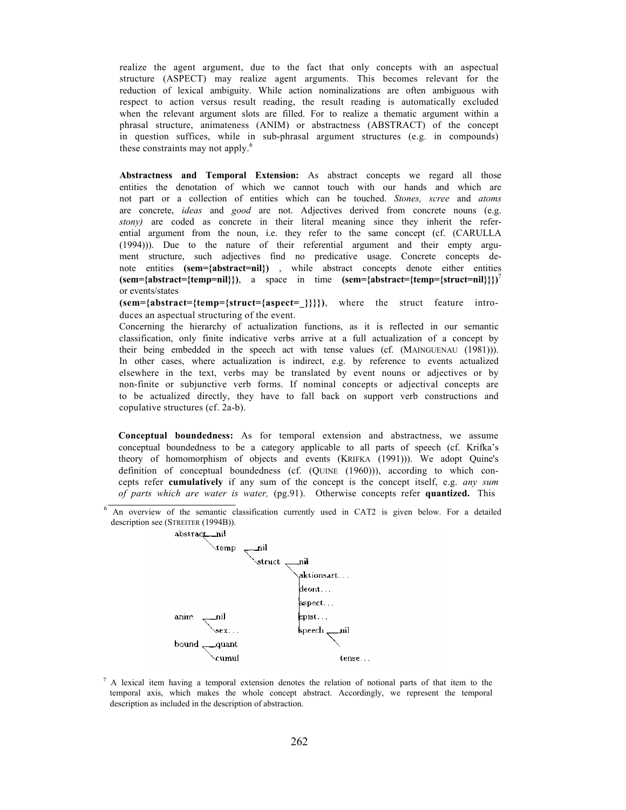realize the agent argument, due to the fact that only concepts with an aspectual structure (ASPECT) may realize agent arguments. This becomes relevant for the reduction of lexical ambiguity. While action nominalizations are often ambiguous with respect to action versus result reading, the result reading is automatically excluded when the relevant argument slots are filled. For to realize a thematic argument within a phrasal structure, animateness (ANIM) or abstractness (ABSTRACT) of the concept in question suffices, while in sub-phrasal argument structures (e.g. in compounds) these constraints may not apply.<sup>6</sup>

**Abstractness and Temporal Extension:** As abstract concepts we regard all those entities the denotation of which we cannot touch with our hands and which are not part or a collection of entities which can be touched. *Stones, scree* and *atoms*  are concrete, *ideas* and *good* are not. Adjectives derived from concrete nouns (e.g. *stony)* are coded as concrete in their literal meaning since they inherit the referential argument from the noun, i.e. they refer to the same concept (cf. (CARULLA (1994))). Due to the nature of their referential argument and their empty argument structure, such adjectives find no predicative usage. Concrete concepts denote entities **(sem={abstract=nil})** , while abstract concepts denote either entities  $(\text{sem}=\{\text{abstract}=\{\text{temp}=nil\})$ , a space in time  $(\text{sem}=\{\text{abstract}=\{\text{temp}=\{\text{struct}=nil\}\})^7$ or events/states

**(sem={abstract={temp={struct={aspect=\_}}}})**, where the struct feature introduces an aspectual structuring of the event.

Concerning the hierarchy of actualization functions, as it is reflected in our semantic classification, only finite indicative verbs arrive at a full actualization of a concept by their being embedded in the speech act with tense values (cf. (MAINGUENAU (1981))). In other cases, where actualization is indirect, e.g. by reference to events actualized elsewhere in the text, verbs may be translated by event nouns or adjectives or by non-finite or subjunctive verb forms. If nominal concepts or adjectival concepts are to be actualized directly, they have to fall back on support verb constructions and copulative structures (cf. 2a-b).

**Conceptual boundedness:** As for temporal extension and abstractness, we assume conceptual boundedness to be a category applicable to all parts of speech (cf. Krifka's theory of homomorphism of objects and events (KRIFKA (1991))). We adopt Quine's definition of conceptual boundedness (cf. (QUINE (1960))), according to which concepts refer **cumulatively** if any sum of the concept is the concept itself, e.g. *any sum of parts which are water is water,* (pg.91). Otherwise concepts refer **quantized.** This

<sup>6</sup> An overview of the semantic classification currently used in CAT2 is given below. For a detailed description see (STREITER (1994B)).



 $^7$  A lexical item having a temporal extension denotes the relation of notional parts of that item to the temporal axis, which makes the whole concept abstract. Accordingly, we represent the temporal description as included in the description of abstraction.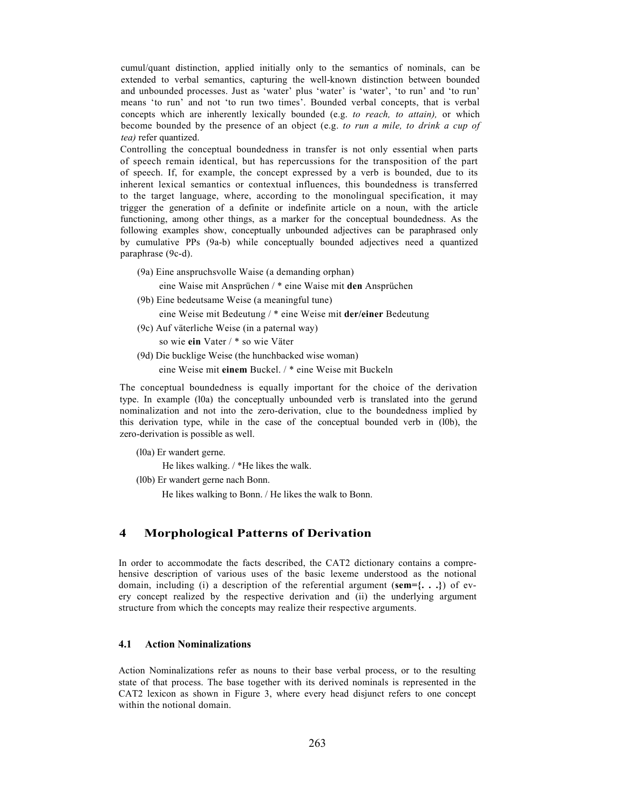cumul/quant distinction, applied initially only to the semantics of nominals, can be extended to verbal semantics, capturing the well-known distinction between bounded and unbounded processes. Just as 'water' plus 'water' is 'water', 'to run' and 'to run' means 'to run' and not 'to run two times'. Bounded verbal concepts, that is verbal concepts which are inherently lexically bounded (e.g. *to reach, to attain),* or which become bounded by the presence of an object (e.g. *to run a mile, to drink a cup of tea)* refer quantized.

Controlling the conceptual boundedness in transfer is not only essential when parts of speech remain identical, but has repercussions for the transposition of the part of speech. If, for example, the concept expressed by a verb is bounded, due to its inherent lexical semantics or contextual influences, this boundedness is transferred to the target language, where, according to the monolingual specification, it may trigger the generation of a definite or indefinite article on a noun, with the article functioning, among other things, as a marker for the conceptual boundedness. As the following examples show, conceptually unbounded adjectives can be paraphrased only by cumulative PPs (9a-b) while conceptually bounded adjectives need a quantized paraphrase (9c-d).

(9a) Eine anspruchsvolle Waise (a demanding orphan)

eine Waise mit Ansprüchen / \* eine Waise mit **den** Ansprüchen

(9b) Eine bedeutsame Weise (a meaningful tune)

eine Weise mit Bedeutung / \* eine Weise mit **der/einer** Bedeutung

(9c) Auf väterliche Weise (in a paternal way)

so wie **ein** Vater / \* so wie Väter

(9d) Die bucklige Weise (the hunchbacked wise woman) eine Weise mit **einem** Buckel. / \* eine Weise mit Buckeln

The conceptual boundedness is equally important for the choice of the derivation type. In example (l0a) the conceptually unbounded verb is translated into the gerund nominalization and not into the zero-derivation, clue to the boundedness implied by this derivation type, while in the case of the conceptual bounded verb in (l0b), the zero-derivation is possible as well.

(l0a) Er wandert gerne.

He likes walking. / \*He likes the walk.

(l0b) Er wandert gerne nach Bonn.

He likes walking to Bonn. / He likes the walk to Bonn.

# **4 Morphological Patterns of Derivation**

In order to accommodate the facts described, the CAT2 dictionary contains a comprehensive description of various uses of the basic lexeme understood as the notional domain, including (i) a description of the referential argument (**sem={. . .}**) of every concept realized by the respective derivation and (ii) the underlying argument structure from which the concepts may realize their respective arguments.

#### **4.1 Action Nominalizations**

Action Nominalizations refer as nouns to their base verbal process, or to the resulting state of that process. The base together with its derived nominals is represented in the CAT2 lexicon as shown in Figure 3, where every head disjunct refers to one concept within the notional domain.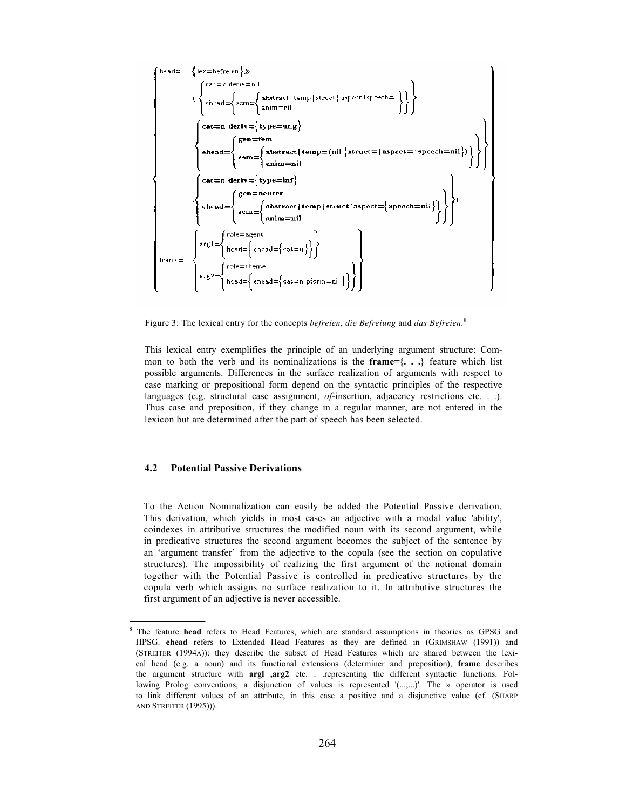

Figure 3: The lexical entry for the concepts *befreien, die Befreiung* and *das Befreien.*<sup>8</sup>

This lexical entry exemplifies the principle of an underlying argument structure: Common to both the verb and its nominalizations is the **frame={. . .}** feature which list possible arguments. Differences in the surface realization of arguments with respect to case marking or prepositional form depend on the syntactic principles of the respective languages (e.g. structural case assignment, *of*-insertion, adjacency restrictions etc. . .). Thus case and preposition, if they change in a regular manner, are not entered in the lexicon but are determined after the part of speech has been selected.

## **4.2 Potential Passive Derivations**

To the Action Nominalization can easily be added the Potential Passive derivation. This derivation, which yields in most cases an adjective with a modal value 'ability', coindexes in attributive structures the modified noun with its second argument, while in predicative structures the second argument becomes the subject of the sentence by an 'argument transfer' from the adjective to the copula (see the section on copulative structures). The impossibility of realizing the first argument of the notional domain together with the Potential Passive is controlled in predicative structures by the copula verb which assigns no surface realization to it. In attributive structures the first argument of an adjective is never accessible.

<sup>8</sup> The feature **head** refers to Head Features, which are standard assumptions in theories as GPSG and HPSG. **ehead** refers to Extended Head Features as they are defined in (GRIMSHAW (1991)) and (STREITER (1994A)): they describe the subset of Head Features which are shared between the lexical head (e.g. a noun) and its functional extensions (determiner and preposition), **frame** describes the argument structure with **argl ,arg2** etc. . .representing the different syntactic functions. Following Prolog conventions, a disjunction of values is represented '(...;...)'. The » operator is used to link different values of an attribute, in this case a positive and a disjunctive value (cf. (SHARP AND STREITER (1995))).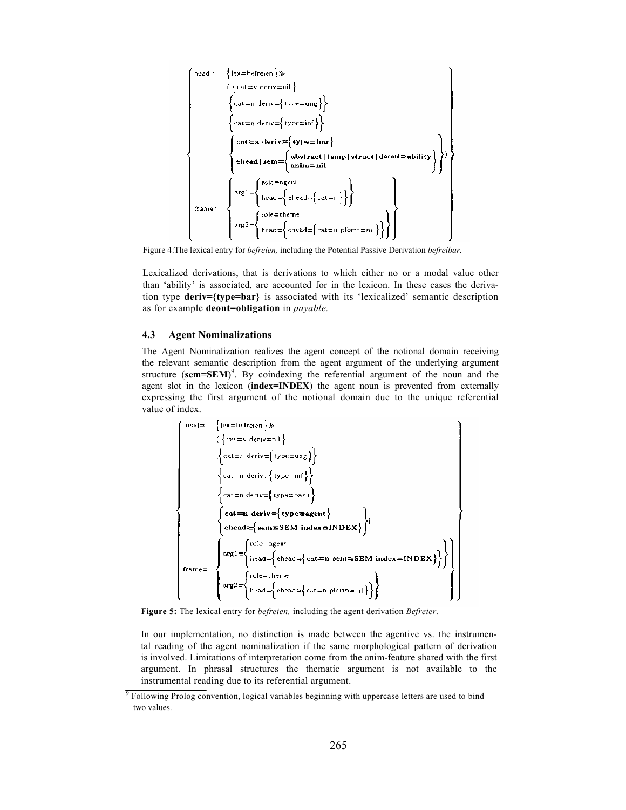

Figure 4:The lexical entry for *befreien,* including the Potential Passive Derivation *befreibar.*

Lexicalized derivations, that is derivations to which either no or a modal value other than 'ability' is associated, are accounted for in the lexicon. In these cases the derivation type **deriv={type=bar}** is associated with its 'lexicalized' semantic description as for example **deont=obligation** in *payable.*

### **4.3 Agent Nominalizations**

The Agent Nominalization realizes the agent concept of the notional domain receiving the relevant semantic description from the agent argument of the underlying argument structure (sem=SEM)<sup>9</sup>. By coindexing the referential argument of the noun and the agent slot in the lexicon (**index=INDEX**) the agent noun is prevented from externally expressing the first argument of the notional domain due to the unique referential value of index.



**Figure 5:** The lexical entry for *befreien,* including the agent derivation *Befreier.*

In our implementation, no distinction is made between the agentive vs. the instrumental reading of the agent nominalization if the same morphological pattern of derivation is involved. Limitations of interpretation come from the anim-feature shared with the first argument. In phrasal structures the thematic argument is not available to the instrumental reading due to its referential argument.

<sup>&</sup>lt;sup>9</sup> Following Prolog convention, logical variables beginning with uppercase letters are used to bind two values.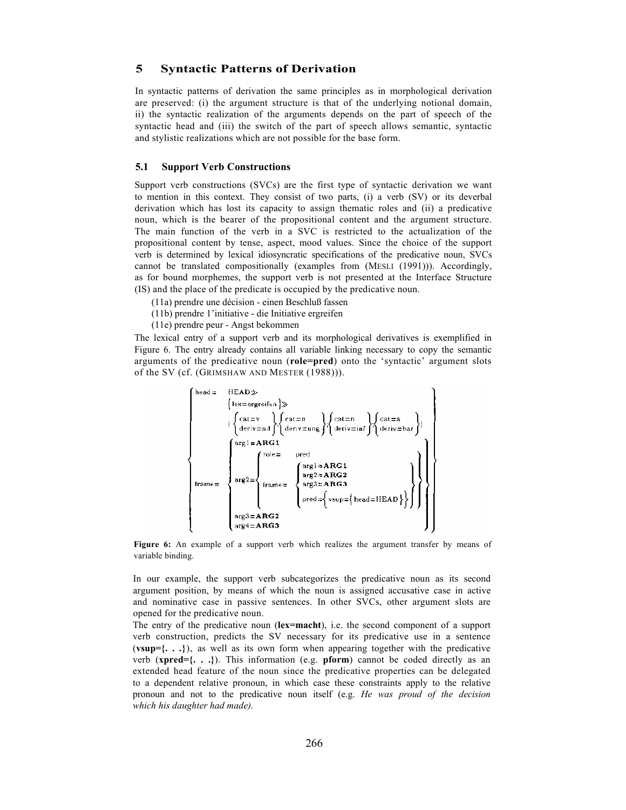# **5 Syntactic Patterns of Derivation**

In syntactic patterns of derivation the same principles as in morphological derivation are preserved: (i) the argument structure is that of the underlying notional domain, ii) the syntactic realization of the arguments depends on the part of speech of the syntactic head and (iii) the switch of the part of speech allows semantic, syntactic and stylistic realizations which are not possible for the base form.

#### **5.1 Support Verb Constructions**

Support verb constructions (SVCs) are the first type of syntactic derivation we want to mention in this context. They consist of two parts, (i) a verb (SV) or its deverbal derivation which has lost its capacity to assign thematic roles and (ii) a predicative noun, which is the bearer of the propositional content and the argument structure. The main function of the verb in a SVC is restricted to the actualization of the propositional content by tense, aspect, mood values. Since the choice of the support verb is determined by lexical idiosyncratic specifications of the predicative noun, SVCs cannot be translated compositionally (examples from (MESLI (1991))). Accordingly, as for bound morphemes, the support verb is not presented at the Interface Structure (IS) and the place of the predicate is occupied by the predicative noun.

- (11a) prendre une décision einen Beschluß fassen
- (11b) prendre 1'initiative die Initiative ergreifen
- (11e) prendre peur Angst bekommen

The lexical entry of a support verb and its morphological derivatives is exemplified in Figure 6. The entry already contains all variable linking necessary to copy the semantic arguments of the predicative noun (**role=pred**) onto the 'syntactic' argument slots of the SV (cf. (GRIMSHAW AND MESTER (1988))).



**Figure 6:** An example of a support verb which realizes the argument transfer by means of variable binding.

In our example, the support verb subcategorizes the predicative noun as its second argument position, by means of which the noun is assigned accusative case in active and nominative case in passive sentences. In other SVCs, other argument slots are opened for the predicative noun.

The entry of the predicative noun (**lex=macht**), i.e. the second component of a support verb construction, predicts the SV necessary for its predicative use in a sentence (**vsup={. . .}**), as well as its own form when appearing together with the predicative verb (**xpred={. . .}**). This information (e.g. **pform**) cannot be coded directly as an extended head feature of the noun since the predicative properties can be delegated to a dependent relative pronoun, in which case these constraints apply to the relative pronoun and not to the predicative noun itself (e.g. *He was proud of the decision which his daughter had made).*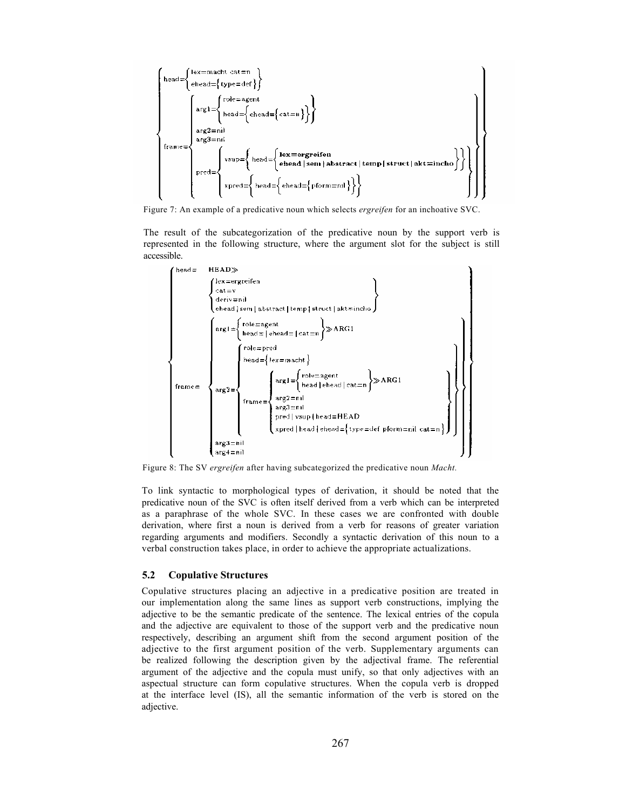

Figure 7: An example of a predicative noun which selects *ergreifen* for an inchoative SVC.

The result of the subcategorization of the predicative noun by the support verb is represented in the following structure, where the argument slot for the subject is still accessible.



Figure 8: The SV *ergreifen* after having subcategorized the predicative noun *Macht.*

To link syntactic to morphological types of derivation, it should be noted that the predicative noun of the SVC is often itself derived from a verb which can be interpreted as a paraphrase of the whole SVC. In these cases we are confronted with double derivation, where first a noun is derived from a verb for reasons of greater variation regarding arguments and modifiers. Secondly a syntactic derivation of this noun to a verbal construction takes place, in order to achieve the appropriate actualizations.

#### **5.2 Copulative Structures**

Copulative structures placing an adjective in a predicative position are treated in our implementation along the same lines as support verb constructions, implying the adjective to be the semantic predicate of the sentence. The lexical entries of the copula and the adjective are equivalent to those of the support verb and the predicative noun respectively, describing an argument shift from the second argument position of the adjective to the first argument position of the verb. Supplementary arguments can be realized following the description given by the adjectival frame. The referential argument of the adjective and the copula must unify, so that only adjectives with an aspectual structure can form copulative structures. When the copula verb is dropped at the interface level (IS), all the semantic information of the verb is stored on the adjective.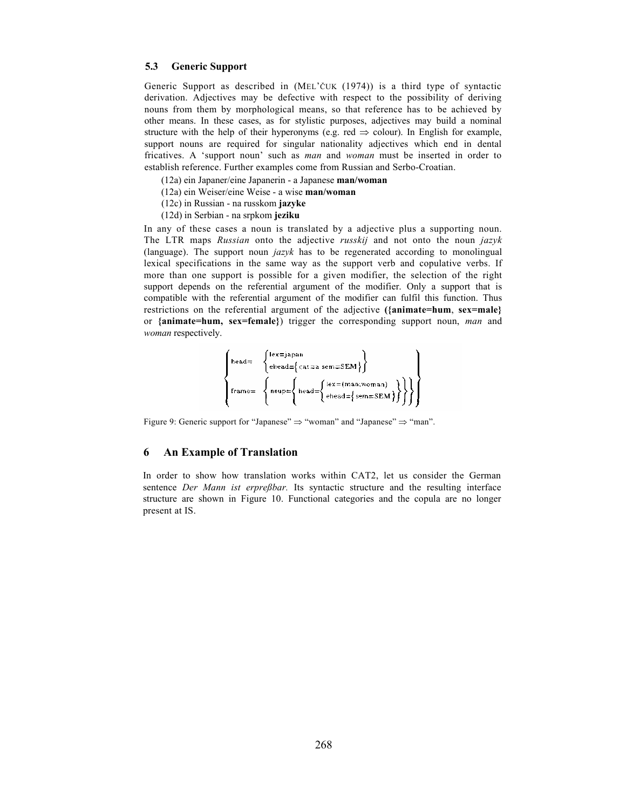# **5.3 Generic Support**

Generic Support as described in (MEL'ČUK (1974)) is a third type of syntactic derivation. Adjectives may be defective with respect to the possibility of deriving nouns from them by morphological means, so that reference has to be achieved by other means. In these cases, as for stylistic purposes, adjectives may build a nominal structure with the help of their hyperonyms (e.g. red  $\Rightarrow$  colour). In English for example, support nouns are required for singular nationality adjectives which end in dental fricatives. A 'support noun' such as *man* and *woman* must be inserted in order to establish reference. Further examples come from Russian and Serbo-Croatian.

- (12a) ein Japaner/eine Japanerin a Japanese **man/woman**
- (12a) ein Weiser/eine Weise a wise **man/woman**
- (12c) in Russian na russkom **jazyke**
- (12d) in Serbian na srpkom **jeziku**

In any of these cases a noun is translated by a adjective plus a supporting noun. The LTR maps *Russian* onto the adjective *russkij* and not onto the noun *jazyk*  (language). The support noun *jazyk* has to be regenerated according to monolingual lexical specifications in the same way as the support verb and copulative verbs. If more than one support is possible for a given modifier, the selection of the right support depends on the referential argument of the modifier. Only a support that is compatible with the referential argument of the modifier can fulfil this function. Thus restrictions on the referential argument of the adjective **({animate=hum**, **sex=male}** or **{animate=hum, sex=female}**) trigger the corresponding support noun, *man* and *woman* respectively.

$$
\left\{\begin{array}{ll} \text{head=} & \left\{\begin{array}{ll} \text{lex=japan} \\ \text{ehead={} \{ \text{cat=a sem=SEM} \} \end{array} \right\} \\ & \left\{ \begin{array}{ll} \text{frame=} & \left\{ \begin{array}{ll} \text{lex=}( \text{man}, \text{woman}) \\ \text{head={} \{ \text{ehead={} \{ \text{sem=SEM} \} } \} \end{array} \right\} \right\} \end{array} \right\} \end{array}
$$

Figure 9: Generic support for "Japanese"  $\Rightarrow$  "woman" and "Japanese"  $\Rightarrow$  "man".

# **6 An Example of Translation**

In order to show how translation works within CAT2, let us consider the German sentence *Der Mann ist erpreßbar.* Its syntactic structure and the resulting interface structure are shown in Figure 10. Functional categories and the copula are no longer present at IS.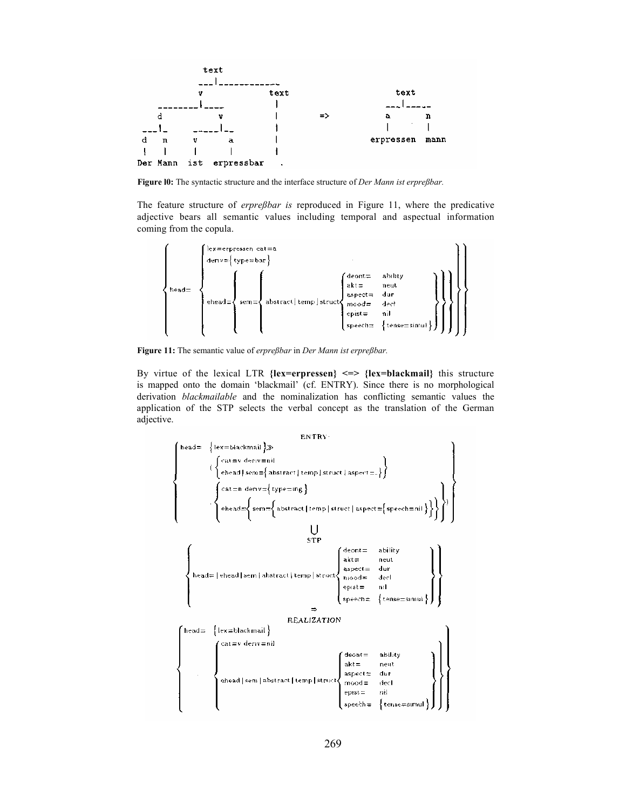

**Figure l0:** The syntactic structure and the interface structure of *Der Mann ist erpreßbar.*

The feature structure of *erpreßbar is* reproduced in Figure 11, where the predicative adjective bears all semantic values including temporal and aspectual information coming from the copula.



**Figure 11:** The semantic value of *erpreßbar* in *Der Mann ist erpreßbar.*

By virtue of the lexical LTR **{lex=erpressen} <=> {lex=blackmail}** this structure is mapped onto the domain 'blackmail' (cf. ENTRY). Since there is no morphological derivation *blackmailable* and the nominalization has conflicting semantic values the application of the STP selects the verbal concept as the translation of the German adjective.

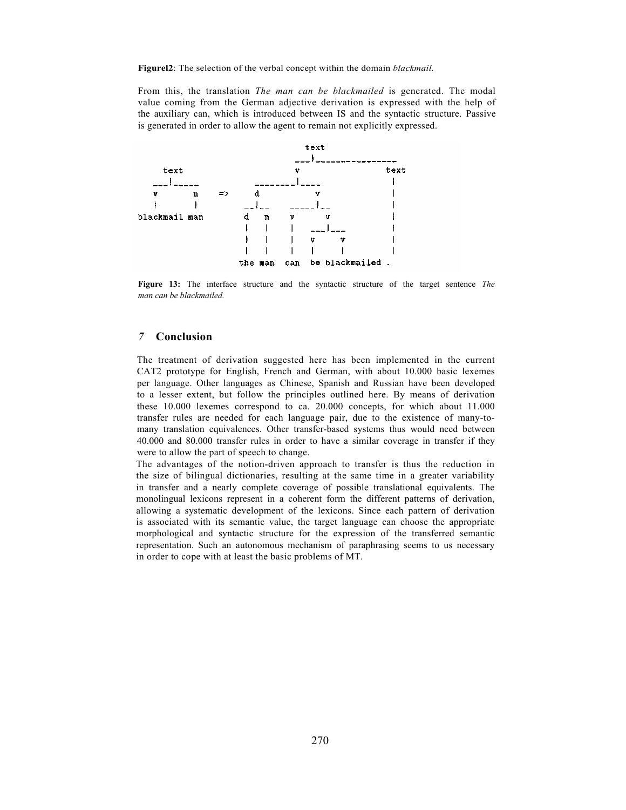**Figurel2**: The selection of the verbal concept within the domain *blackmail.*

From this, the translation *The man can be blackmailed* is generated. The modal value coming from the German adjective derivation is expressed with the help of the auxiliary can, which is introduced between IS and the syntactic structure. Passive is generated in order to allow the agent to remain not explicitly expressed.



**Figure 13:** The interface structure and the syntactic structure of the target sentence *The man can be blackmailed.*

# *7* **Conclusion**

The treatment of derivation suggested here has been implemented in the current CAT2 prototype for English, French and German, with about 10.000 basic lexemes per language. Other languages as Chinese, Spanish and Russian have been developed to a lesser extent, but follow the principles outlined here. By means of derivation these 10.000 lexemes correspond to ca. 20.000 concepts, for which about 11.000 transfer rules are needed for each language pair, due to the existence of many-tomany translation equivalences. Other transfer-based systems thus would need between 40.000 and 80.000 transfer rules in order to have a similar coverage in transfer if they were to allow the part of speech to change.

The advantages of the notion-driven approach to transfer is thus the reduction in the size of bilingual dictionaries, resulting at the same time in a greater variability in transfer and a nearly complete coverage of possible translational equivalents. The monolingual lexicons represent in a coherent form the different patterns of derivation, allowing a systematic development of the lexicons. Since each pattern of derivation is associated with its semantic value, the target language can choose the appropriate morphological and syntactic structure for the expression of the transferred semantic representation. Such an autonomous mechanism of paraphrasing seems to us necessary in order to cope with at least the basic problems of MT.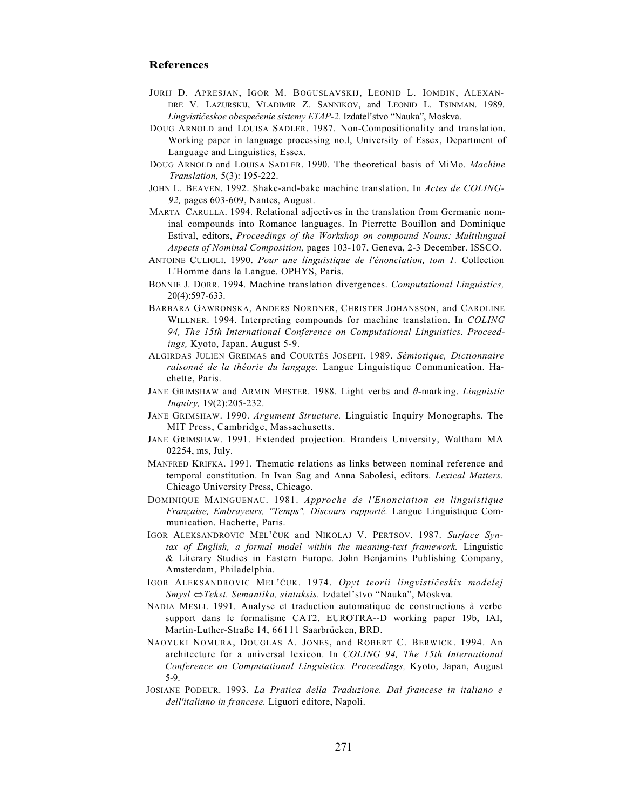# **References**

- JURIJ D. APRESJAN, IGOR M. BOGUSLAVSKIJ, LEONID L. IOMDIN, ALEXAN-DRE V. LAZURSKIJ, VLADIMIR Z. SANNIKOV, and LEONID L. TSINMAN. 1989. *Lingvističeskoe obespečenie sistemy ETAP-2.* Izdatel'stvo "Nauka", Moskva.
- DOUG ARNOLD and LOUISA SADLER. 1987. Non-Compositionality and translation. Working paper in language processing no.l, University of Essex, Department of Language and Linguistics, Essex.
- DOUG ARNOLD and LOUISA SADLER. 1990. The theoretical basis of MiMo. *Machine Translation,* 5(3): 195-222.
- JOHN L. BEAVEN. 1992. Shake-and-bake machine translation. In *Actes de COLING-92,* pages 603-609, Nantes, August.
- MARTA CARULLA. 1994. Relational adjectives in the translation from Germanic nominal compounds into Romance languages. In Pierrette Bouillon and Dominique Estival, editors, *Proceedings of the Workshop on compound Nouns: Multilingual Aspects of Nominal Composition,* pages 103-107, Geneva, 2-3 December. ISSCO.
- ANTOINE CULIOLI. 1990. *Pour une linguistique de l'énonciation, tom 1.* Collection L'Homme dans la Langue. OPHYS, Paris.
- BONNIE J. DORR. 1994. Machine translation divergences. *Computational Linguistics,*  20(4):597-633.
- BARBARA GAWRONSKA, ANDERS NORDNER, CHRISTER JOHANSSON, and CAROLINE WILLNER. 1994. Interpreting compounds for machine translation. In *COLING 94, The 15th International Conference on Computational Linguistics. Proceedings,* Kyoto, Japan, August 5-9.
- ALGIRDAS JULIEN GREIMAS and COURTÉS JOSEPH. 1989. *Sémiotique, Dictionnaire raisonné de la théorie du langage.* Langue Linguistique Communication. Hachette, Paris.
- JANE GRIMSHAW and ARMIN MESTER. 1988. Light verbs and *θ*-marking. *Linguistic Inquiry,* 19(2):205-232.
- JANE GRIMSHAW. 1990. *Argument Structure.* Linguistic Inquiry Monographs. The MIT Press, Cambridge, Massachusetts.
- JANE GRIMSHAW. 1991. Extended projection. Brandeis University, Waltham MA 02254, ms, July.
- MANFRED KRIFKA. 1991. Thematic relations as links between nominal reference and temporal constitution. In Ivan Sag and Anna Sabolesi, editors. *Lexical Matters.*  Chicago University Press, Chicago.
- DOMINIQUE MAINGUENAU. 1981. *Approche de l'Enonciation en linguistique Française, Embrayeurs, "Temps", Discours rapporté.* Langue Linguistique Communication. Hachette, Paris.
- IGOR ALEKSANDROVIC MEL'ČUK and NIKOLAJ V. PERTSOV. 1987. *Surface Syntax of English, a formal model within the meaning-text framework.* Linguistic & Literary Studies in Eastern Europe. John Benjamins Publishing Company, Amsterdam, Philadelphia.
- IGOR ALEKSANDROVIC MEL'ČUK. 1974. *Opyt teorii lingvističeskix modelej Smysl* ⇔*Tekst. Semantika, sintaksis.* Izdatel'stvo "Nauka", Moskva.
- NADIA MESLI. 1991. Analyse et traduction automatique de constructions à verbe support dans le formalisme CAT2. EUROTRA--D working paper 19b, IAI, Martin-Luther-Straße 14, 66111 Saarbrücken, BRD.
- NAOYUKI NOMURA, DOUGLAS A. JONES, and ROBERT C. BERWICK. 1994. An architecture for a universal lexicon. In *COLING 94, The 15th International Conference on Computational Linguistics. Proceedings,* Kyoto, Japan, August 5-9.
- JOSIANE PODEUR. 1993. *La Pratica della Traduzione. Dal francese in italiano e dell'italiano in francese.* Liguori editore, Napoli.